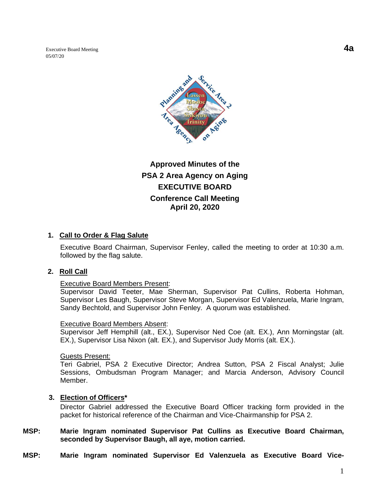Executive Board Meeting **4a** 05/07/20



# **Approved Minutes of the PSA 2 Area Agency on Aging EXECUTIVE BOARD Conference Call Meeting April 20, 2020**

### **1. Call to Order & Flag Salute**

Executive Board Chairman, Supervisor Fenley, called the meeting to order at 10:30 a.m. followed by the flag salute.

#### **2. Roll Call**

#### Executive Board Members Present:

Supervisor David Teeter, Mae Sherman, Supervisor Pat Cullins, Roberta Hohman, Supervisor Les Baugh, Supervisor Steve Morgan, Supervisor Ed Valenzuela, Marie Ingram, Sandy Bechtold, and Supervisor John Fenley. A quorum was established.

#### Executive Board Members Absent:

Supervisor Jeff Hemphill (alt., EX.), Supervisor Ned Coe (alt. EX.), Ann Morningstar (alt. EX.), Supervisor Lisa Nixon (alt. EX.), and Supervisor Judy Morris (alt. EX.).

#### Guests Present:

Teri Gabriel, PSA 2 Executive Director; Andrea Sutton, PSA 2 Fiscal Analyst; Julie Sessions, Ombudsman Program Manager; and Marcia Anderson, Advisory Council Member.

#### **3. Election of Officers\***

Director Gabriel addressed the Executive Board Officer tracking form provided in the packet for historical reference of the Chairman and Vice-Chairmanship for PSA 2.

#### **MSP: Marie Ingram nominated Supervisor Pat Cullins as Executive Board Chairman, seconded by Supervisor Baugh, all aye, motion carried.**

**MSP: Marie Ingram nominated Supervisor Ed Valenzuela as Executive Board Vice-**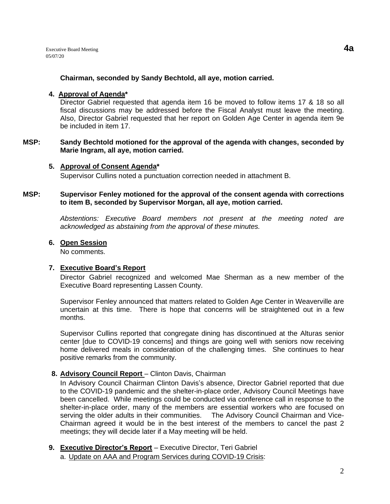Executive Board Meeting **4a** 05/07/20

#### **Chairman, seconded by Sandy Bechtold, all aye, motion carried.**

#### **4. Approval of Agenda\***

Director Gabriel requested that agenda item 16 be moved to follow items 17 & 18 so all fiscal discussions may be addressed before the Fiscal Analyst must leave the meeting. Also, Director Gabriel requested that her report on Golden Age Center in agenda item 9e be included in item 17.

#### **MSP: Sandy Bechtold motioned for the approval of the agenda with changes, seconded by Marie Ingram, all aye, motion carried.**

#### **5. Approval of Consent Agenda\***

Supervisor Cullins noted a punctuation correction needed in attachment B.

#### **MSP: Supervisor Fenley motioned for the approval of the consent agenda with corrections to item B, seconded by Supervisor Morgan, all aye, motion carried.**

*Abstentions: Executive Board members not present at the meeting noted are acknowledged as abstaining from the approval of these minutes.*

#### **6. Open Session**

No comments.

#### **7. Executive Board's Report**

Director Gabriel recognized and welcomed Mae Sherman as a new member of the Executive Board representing Lassen County.

Supervisor Fenley announced that matters related to Golden Age Center in Weaverville are uncertain at this time. There is hope that concerns will be straightened out in a few months.

Supervisor Cullins reported that congregate dining has discontinued at the Alturas senior center [due to COVID-19 concerns] and things are going well with seniors now receiving home delivered meals in consideration of the challenging times. She continues to hear positive remarks from the community.

### **8. Advisory Council Report** – Clinton Davis, Chairman

In Advisory Council Chairman Clinton Davis's absence, Director Gabriel reported that due to the COVID-19 pandemic and the shelter-in-place order, Advisory Council Meetings have been cancelled. While meetings could be conducted via conference call in response to the shelter-in-place order, many of the members are essential workers who are focused on serving the older adults in their communities. The Advisory Council Chairman and Vice-Chairman agreed it would be in the best interest of the members to cancel the past 2 meetings; they will decide later if a May meeting will be held.

# **9. Executive Director's Report** – Executive Director, Teri Gabriel

a. Update on AAA and Program Services during COVID-19 Crisis: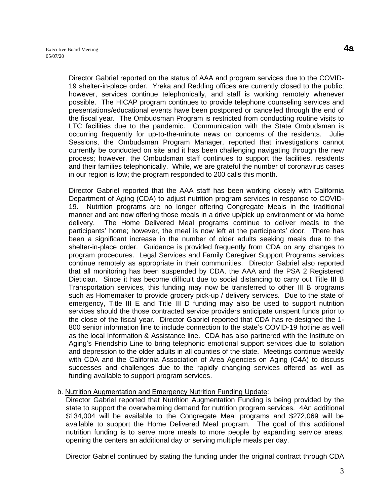Director Gabriel reported on the status of AAA and program services due to the COVID-19 shelter-in-place order. Yreka and Redding offices are currently closed to the public; however, services continue telephonically, and staff is working remotely whenever possible. The HICAP program continues to provide telephone counseling services and presentations/educational events have been postponed or cancelled through the end of the fiscal year. The Ombudsman Program is restricted from conducting routine visits to LTC facilities due to the pandemic. Communication with the State Ombudsman is occurring frequently for up-to-the-minute news on concerns of the residents. Julie Sessions, the Ombudsman Program Manager, reported that investigations cannot currently be conducted on site and it has been challenging navigating through the new process; however, the Ombudsman staff continues to support the facilities, residents and their families telephonically. While, we are grateful the number of coronavirus cases in our region is low; the program responded to 200 calls this month.

Director Gabriel reported that the AAA staff has been working closely with California Department of Aging (CDA) to adjust nutrition program services in response to COVID-19. Nutrition programs are no longer offering Congregate Meals in the traditional manner and are now offering those meals in a drive up/pick up environment or via home delivery. The Home Delivered Meal programs continue to deliver meals to the participants' home; however, the meal is now left at the participants' door. There has been a significant increase in the number of older adults seeking meals due to the shelter-in-place order. Guidance is provided frequently from CDA on any changes to program procedures. Legal Services and Family Caregiver Support Programs services continue remotely as appropriate in their communities. Director Gabriel also reported that all monitoring has been suspended by CDA, the AAA and the PSA 2 Registered Dietician. Since it has become difficult due to social distancing to carry out Title III B Transportation services, this funding may now be transferred to other III B programs such as Homemaker to provide grocery pick-up / delivery services. Due to the state of emergency, Title III E and Title III D funding may also be used to support nutrition services should the those contracted service providers anticipate unspent funds prior to the close of the fiscal year. Director Gabriel reported that CDA has re-designed the 1- 800 senior information line to include connection to the state's COVID-19 hotline as well as the local Information & Assistance line. CDA has also partnered with the Institute on Aging's Friendship Line to bring telephonic emotional support services due to isolation and depression to the older adults in all counties of the state. Meetings continue weekly with CDA and the California Association of Area Agencies on Aging (C4A) to discuss successes and challenges due to the rapidly changing services offered as well as funding available to support program services.

#### b. Nutrition Augmentation and Emergency Nutrition Funding Update:

Director Gabriel reported that Nutrition Augmentation Funding is being provided by the state to support the overwhelming demand for nutrition program services. 4An additional \$134,004 will be available to the Congregate Meal programs and \$272,069 will be available to support the Home Delivered Meal program. The goal of this additional nutrition funding is to serve more meals to more people by expanding service areas, opening the centers an additional day or serving multiple meals per day.

Director Gabriel continued by stating the funding under the original contract through CDA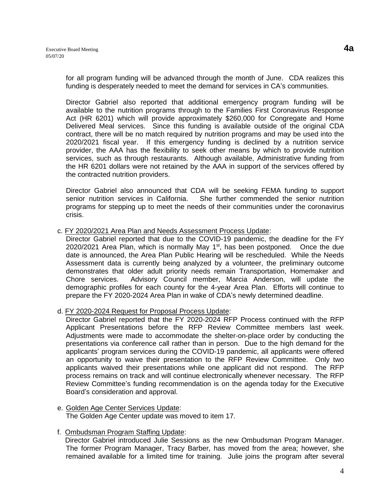for all program funding will be advanced through the month of June. CDA realizes this funding is desperately needed to meet the demand for services in CA's communities.

Director Gabriel also reported that additional emergency program funding will be available to the nutrition programs through to the Families First Coronavirus Response Act (HR 6201) which will provide approximately \$260,000 for Congregate and Home Delivered Meal services. Since this funding is available outside of the original CDA contract, there will be no match required by nutrition programs and may be used into the 2020/2021 fiscal year. If this emergency funding is declined by a nutrition service provider, the AAA has the flexibility to seek other means by which to provide nutrition services, such as through restaurants. Although available, Administrative funding from the HR 6201 dollars were not retained by the AAA in support of the services offered by the contracted nutrition providers.

Director Gabriel also announced that CDA will be seeking FEMA funding to support senior nutrition services in California. She further commended the senior nutrition programs for stepping up to meet the needs of their communities under the coronavirus crisis.

#### c. FY 2020/2021 Area Plan and Needs Assessment Process Update:

Director Gabriel reported that due to the COVID-19 pandemic, the deadline for the FY 2020/2021 Area Plan, which is normally May  $1<sup>st</sup>$ , has been postponed. Once the due date is announced, the Area Plan Public Hearing will be rescheduled. While the Needs Assessment data is currently being analyzed by a volunteer, the preliminary outcome demonstrates that older adult priority needs remain Transportation, Homemaker and Chore services. Advisory Council member, Marcia Anderson, will update the demographic profiles for each county for the 4-year Area Plan. Efforts will continue to prepare the FY 2020-2024 Area Plan in wake of CDA's newly determined deadline.

d. FY 2020-2024 Request for Proposal Process Update:

Director Gabriel reported that the FY 2020-2024 RFP Process continued with the RFP Applicant Presentations before the RFP Review Committee members last week. Adjustments were made to accommodate the shelter-on-place order by conducting the presentations via conference call rather than in person. Due to the high demand for the applicants' program services during the COVID-19 pandemic, all applicants were offered an opportunity to waive their presentation to the RFP Review Committee. Only two applicants waived their presentations while one applicant did not respond. The RFP process remains on track and will continue electronically whenever necessary. The RFP Review Committee's funding recommendation is on the agenda today for the Executive Board's consideration and approval.

e. Golden Age Center Services Update: The Golden Age Center update was moved to item 17.

### f. Ombudsman Program Staffing Update:

 Director Gabriel introduced Julie Sessions as the new Ombudsman Program Manager. The former Program Manager, Tracy Barber, has moved from the area; however, she remained available for a limited time for training. Julie joins the program after several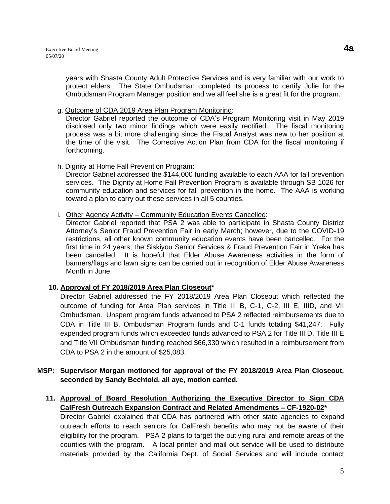years with Shasta County Adult Protective Services and is very familiar with our work to protect elders. The State Ombudsman completed its process to certify Julie for the Ombudsman Program Manager position and we all feel she is a great fit for the program.

### g. Outcome of CDA 2019 Area Plan Program Monitoring:

Director Gabriel reported the outcome of CDA's Program Monitoring visit in May 2019 disclosed only two minor findings which were easily rectified. The fiscal monitoring process was a bit more challenging since the Fiscal Analyst was new to her position at the time of the visit. The Corrective Action Plan from CDA for the fiscal monitoring if forthcoming.

h. Dignity at Home Fall Prevention Program:

Director Gabriel addressed the \$144,000 funding available to each AAA for fall prevention services. The Dignity at Home Fall Prevention Program is available through SB 1026 for community education and services for fall prevention in the home. The AAA is working toward a plan to carry out these services in all 5 counties.

#### i. Other Agency Activity – Community Education Events Cancelled:

Director Gabriel reported that PSA 2 was able to participate in Shasta County District Attorney's Senior Fraud Prevention Fair in early March; however, due to the COVID-19 restrictions, all other known community education events have been cancelled. For the first time in 24 years, the Siskiyou Senior Services & Fraud Prevention Fair in Yreka has been cancelled. It is hopeful that Elder Abuse Awareness activities in the form of banners/flags and lawn signs can be carried out in recognition of Elder Abuse Awareness Month in June.

### **10. Approval of FY 2018/2019 Area Plan Closeout\***

Director Gabriel addressed the FY 2018/2019 Area Plan Closeout which reflected the outcome of funding for Area Plan services in Title III B, C-1, C-2, III E, IIID, and VII Ombudsman. Unspent program funds advanced to PSA 2 reflected reimbursements due to CDA in Title III B, Ombudsman Program funds and C-1 funds totaling \$41,247. Fully expended program funds which exceeded funds advanced to PSA 2 for Title III D, Title III E and Title VII Ombudsman funding reached \$66,330 which resulted in a reimbursement from CDA to PSA 2 in the amount of \$25,083.

### **MSP: Supervisor Morgan motioned for approval of the FY 2018/2019 Area Plan Closeout, seconded by Sandy Bechtold, all aye, motion carried.**

**11. Approval of Board Resolution Authorizing the Executive Director to Sign CDA CalFresh Outreach Expansion Contract and Related Amendments – CF-1920-02\*** Director Gabriel explained that CDA has partnered with other state agencies to expand outreach efforts to reach seniors for CalFresh benefits who may not be aware of their eligibility for the program. PSA 2 plans to target the outlying rural and remote areas of the counties with the program. A local printer and mail out service will be used to distribute materials provided by the California Dept. of Social Services and will include contact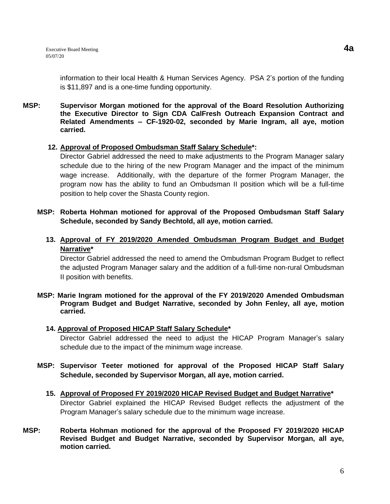information to their local Health & Human Services Agency. PSA 2's portion of the funding is \$11,897 and is a one-time funding opportunity.

#### **MSP: Supervisor Morgan motioned for the approval of the Board Resolution Authorizing the Executive Director to Sign CDA CalFresh Outreach Expansion Contract and Related Amendments – CF-1920-02, seconded by Marie Ingram, all aye, motion carried.**

#### **12. Approval of Proposed Ombudsman Staff Salary Schedule\*:**

Director Gabriel addressed the need to make adjustments to the Program Manager salary schedule due to the hiring of the new Program Manager and the impact of the minimum wage increase. Additionally, with the departure of the former Program Manager, the program now has the ability to fund an Ombudsman II position which will be a full-time position to help cover the Shasta County region.

- **MSP: Roberta Hohman motioned for approval of the Proposed Ombudsman Staff Salary Schedule, seconded by Sandy Bechtold, all aye, motion carried.**
	- **13. Approval of FY 2019/2020 Amended Ombudsman Program Budget and Budget Narrative\***

Director Gabriel addressed the need to amend the Ombudsman Program Budget to reflect the adjusted Program Manager salary and the addition of a full-time non-rural Ombudsman II position with benefits.

**MSP: Marie Ingram motioned for the approval of the FY 2019/2020 Amended Ombudsman Program Budget and Budget Narrative, seconded by John Fenley, all aye, motion carried.**

### **14. Approval of Proposed HICAP Staff Salary Schedule\***

Director Gabriel addressed the need to adjust the HICAP Program Manager's salary schedule due to the impact of the minimum wage increase.

- **MSP: Supervisor Teeter motioned for approval of the Proposed HICAP Staff Salary Schedule, seconded by Supervisor Morgan, all aye, motion carried.**
	- **15. Approval of Proposed FY 2019/2020 HICAP Revised Budget and Budget Narrative\*** Director Gabriel explained the HICAP Revised Budget reflects the adjustment of the Program Manager's salary schedule due to the minimum wage increase.
- **MSP: Roberta Hohman motioned for the approval of the Proposed FY 2019/2020 HICAP Revised Budget and Budget Narrative, seconded by Supervisor Morgan, all aye, motion carried.**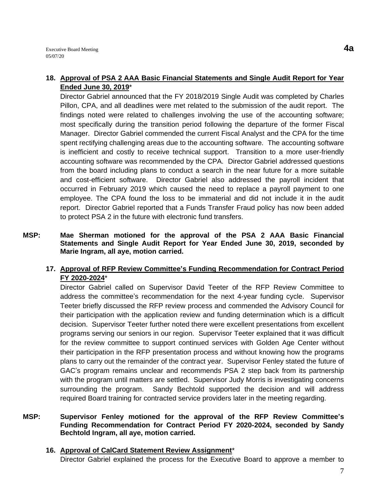## **18. Approval of PSA 2 AAA Basic Financial Statements and Single Audit Report for Year Ended June 30, 2019**\*

Director Gabriel announced that the FY 2018/2019 Single Audit was completed by Charles Pillon, CPA, and all deadlines were met related to the submission of the audit report. The findings noted were related to challenges involving the use of the accounting software; most specifically during the transition period following the departure of the former Fiscal Manager. Director Gabriel commended the current Fiscal Analyst and the CPA for the time spent rectifying challenging areas due to the accounting software. The accounting software is inefficient and costly to receive technical support. Transition to a more user-friendly accounting software was recommended by the CPA. Director Gabriel addressed questions from the board including plans to conduct a search in the near future for a more suitable and cost-efficient software. Director Gabriel also addressed the payroll incident that occurred in February 2019 which caused the need to replace a payroll payment to one employee. The CPA found the loss to be immaterial and did not include it in the audit report. Director Gabriel reported that a Funds Transfer Fraud policy has now been added to protect PSA 2 in the future with electronic fund transfers.

**MSP: Mae Sherman motioned for the approval of the PSA 2 AAA Basic Financial Statements and Single Audit Report for Year Ended June 30, 2019, seconded by Marie Ingram, all aye, motion carried.**

# **17. Approval of RFP Review Committee's Funding Recommendation for Contract Period FY 2020-2024**\*

Director Gabriel called on Supervisor David Teeter of the RFP Review Committee to address the committee's recommendation for the next 4-year funding cycle. Supervisor Teeter briefly discussed the RFP review process and commended the Advisory Council for their participation with the application review and funding determination which is a difficult decision. Supervisor Teeter further noted there were excellent presentations from excellent programs serving our seniors in our region. Supervisor Teeter explained that it was difficult for the review committee to support continued services with Golden Age Center without their participation in the RFP presentation process and without knowing how the programs plans to carry out the remainder of the contract year. Supervisor Fenley stated the future of GAC's program remains unclear and recommends PSA 2 step back from its partnership with the program until matters are settled. Supervisor Judy Morris is investigating concerns surrounding the program. Sandy Bechtold supported the decision and will address required Board training for contracted service providers later in the meeting regarding.

#### **MSP: Supervisor Fenley motioned for the approval of the RFP Review Committee's Funding Recommendation for Contract Period FY 2020-2024, seconded by Sandy Bechtold Ingram, all aye, motion carried.**

#### **16. Approval of CalCard Statement Review Assignment**\* Director Gabriel explained the process for the Executive Board to approve a member to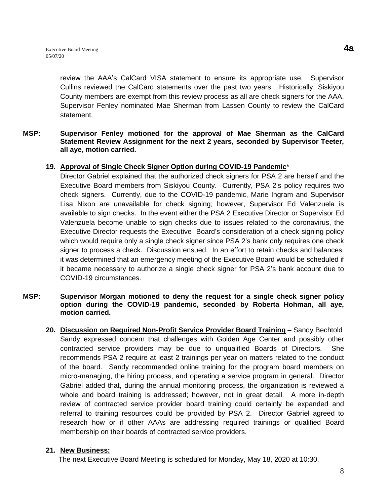review the AAA's CalCard VISA statement to ensure its appropriate use. Supervisor Cullins reviewed the CalCard statements over the past two years. Historically, Siskiyou County members are exempt from this review process as all are check signers for the AAA. Supervisor Fenley nominated Mae Sherman from Lassen County to review the CalCard statement.

#### **MSP: Supervisor Fenley motioned for the approval of Mae Sherman as the CalCard Statement Review Assignment for the next 2 years, seconded by Supervisor Teeter, all aye, motion carried.**

### **19. Approval of Single Check Signer Option during COVID-19 Pandemic**\*

Director Gabriel explained that the authorized check signers for PSA 2 are herself and the Executive Board members from Siskiyou County. Currently, PSA 2's policy requires two check signers. Currently, due to the COVID-19 pandemic, Marie Ingram and Supervisor Lisa Nixon are unavailable for check signing; however, Supervisor Ed Valenzuela is available to sign checks. In the event either the PSA 2 Executive Director or Supervisor Ed Valenzuela become unable to sign checks due to issues related to the coronavirus, the Executive Director requests the Executive Board's consideration of a check signing policy which would require only a single check signer since PSA 2's bank only requires one check signer to process a check. Discussion ensued. In an effort to retain checks and balances, it was determined that an emergency meeting of the Executive Board would be scheduled if it became necessary to authorize a single check signer for PSA 2's bank account due to COVID-19 circumstances.

### **MSP: Supervisor Morgan motioned to deny the request for a single check signer policy option during the COVID-19 pandemic, seconded by Roberta Hohman, all aye, motion carried.**

**20. Discussion on Required Non-Profit Service Provider Board Training** – Sandy Bechtold Sandy expressed concern that challenges with Golden Age Center and possibly other contracted service providers may be due to unqualified Boards of Directors. She recommends PSA 2 require at least 2 trainings per year on matters related to the conduct of the board. Sandy recommended online training for the program board members on micro-managing, the hiring process, and operating a service program in general. Director Gabriel added that, during the annual monitoring process, the organization is reviewed a whole and board training is addressed; however, not in great detail. A more in-depth review of contracted service provider board training could certainly be expanded and referral to training resources could be provided by PSA 2. Director Gabriel agreed to research how or if other AAAs are addressing required trainings or qualified Board membership on their boards of contracted service providers.

### **21. New Business:**

The next Executive Board Meeting is scheduled for Monday, May 18, 2020 at 10:30.